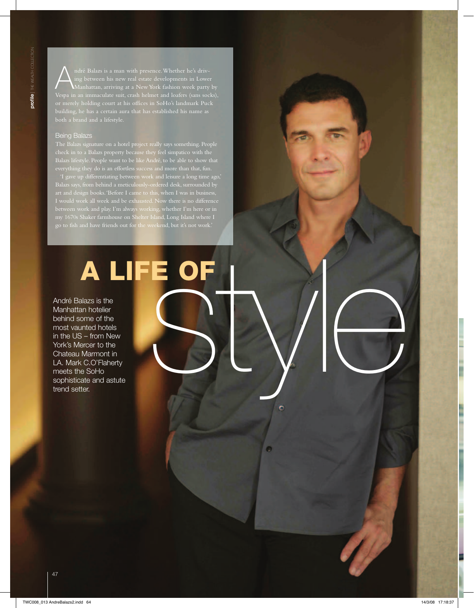ndré Balazs is a man with presence. Whether he's drivbuilding, he has a certain aura that has established his name as both a brand and a lifestyle.

## Being Balazs

check in to a Balazs property because they feel simpatico with the Balazs lifestyle. People want to be like André, to be able to show that

'I gave up differentiating between work and leisure a long time ago,' Balazs says, from behind a meticulously-ordered desk, surrounded by art and design books. 'Before I came to this, when I was in business, I would work all week and be exhausted. Now there is no difference go to fish and have friends out for the weekend, but it's not work.'

# A LIFE OF<br>
In hotelier<br>In thotelier<br>Inted hotels<br>In Marmontin<br>Let comparing a style and astute<br>CoorFisherty<br>ter and astute

ō

André Balazs is the Manhattan hotelier behind some of the most vaunted hotels in the US – from New York's Mercer to the Chateau Marmont in LA. Mark C.O'Flaherty meets the SoHo sophisticate and astute trend setter.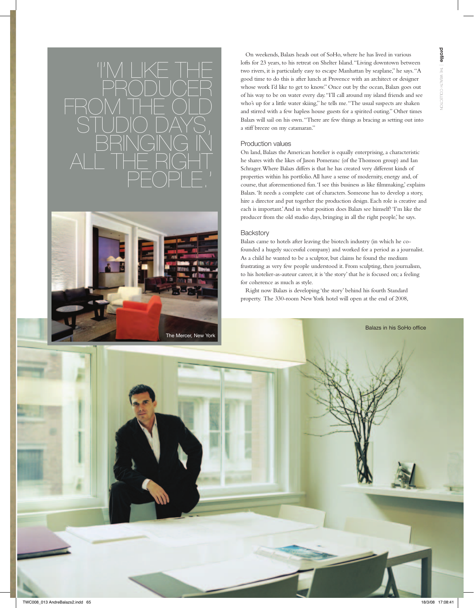



On weekends, Balazs heads out of SoHo, where he has lived in various lofts for 23 years, to his retreat on Shelter Island. "Living downtown between two rivers, it is particularly easy to escape Manhattan by seaplane," he says. "A good time to do this is after lunch at Provence with an architect or designer whose work I'd like to get to know." Once out by the ocean, Balazs goes out of his way to be on water every day. "I'll call around my island friends and see who's up for a little water skiing," he tells me. "The usual suspects are shaken and stirred with a few hapless house guests for a spirited outing." Other times Balazs will sail on his own. "There are few things as bracing as setting out into a stiff breeze on my catamaran."

### Production values

On land, Balazs the American hotelier is equally enterprising, a characteristic he shares with the likes of Jason Pomeranc (of the Thomson group) and Ian Schrager. Where Balazs differs is that he has created very different kinds of properties within his portfolio. All have a sense of modernity, energy and, of course, that aforementioned fun. 'I see this business as like filmmaking,' explains Balazs. 'It needs a complete cast of characters. Someone has to develop a story, hire a director and put together the production design. Each role is creative and each is important.' And in what position does Balazs see himself? 'I'm like the producer from the old studio days, bringing in all the right people,' he says.

### **Backstory**

Balazs came to hotels after leaving the biotech industry (in which he cofounded a hugely successful company) and worked for a period as a journalist. As a child he wanted to be a sculptor, but claims he found the medium frustrating as very few people understood it. From sculpting, then journalism, to his hotelier-as-auteur career, it is 'the story' that he is focused on; a feeling for coherence as much as style.

Balazs in his SoHo office

Right now Balazs is developing 'the story' behind his fourth Standard property. The 330-room New York hotel will open at the end of 2008,

profile  $\vec{t}$ wealth collection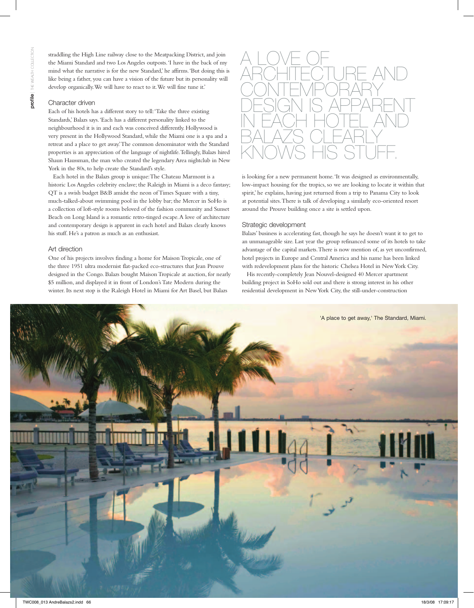straddling the High Line railway close to the Meatpacking District, and join the Miami Standard and two Los Angeles outposts. 'I have in the back of my mind what the narrative is for the new Standard,' he affirms. 'But doing this is like being a father, you can have a vision of the future but its personality will develop organically. We will have to react to it. We will fine tune it.'

### Character driven

Each of his hotels has a different story to tell: 'Take the three existing Standards,' Balazs says. 'Each has a different personality linked to the neighbourhood it is in and each was conceived differently. Hollywood is very present in the Hollywood Standard, while the Miami one is a spa and a retreat and a place to get away.' The common denominator with the Standard properties is an appreciation of the language of nightlife. Tellingly, Balazs hired Shaun Haussman, the man who created the legendary Area nightclub in New York in the 80s, to help create the Standard's style.

Each hotel in the Balazs group is unique: The Chateau Marmont is a historic Los Angeles celebrity enclave; the Raleigh in Miami is a deco fantasy; QT is a swish budget B&B amidst the neon of Times Square with a tiny, much-talked-about swimming pool in the lobby bar; the Mercer in SoHo is a collection of loft-style rooms beloved of the fashion community and Sunset Beach on Long Island is a romantic retro-tinged escape. A love of architecture and contemporary design is apparent in each hotel and Balazs clearly knows his stuff. He's a patron as much as an enthusiast.

### Art direction

One of his projects involves finding a home for Maison Tropicale, one of the three 1951 ultra modernist flat-packed eco-structures that Jean Prouve designed in the Congo. Balazs bought Maison Tropicale at auction, for nearly \$5 million, and displayed it in front of London's Tate Modern during the winter. Its next stop is the Raleigh Hotel in Miami for Art Basel, but Balazs



is looking for a new permanent home. 'It was designed as environmentally, low-impact housing for the tropics, so we are looking to locate it within that spirit,' he explains, having just returned from a trip to Panama City to look at potential sites. There is talk of developing a similarly eco-oriented resort around the Prouve building once a site is settled upon.

### Strategic development

Balazs' business is accelerating fast, though he says he doesn't want it to get to an unmanageable size. Last year the group refinanced some of its hotels to take advantage of the capital markets. There is now mention of, as yet unconfirmed, hotel projects in Europe and Central America and his name has been linked with redevelopment plans for the historic Chelsea Hotel in New York City.

His recently-completely Jean Nouvel-designed 40 Mercer apartment building project in SoHo sold out and there is strong interest in his other residential development in New York City, the still-under-construction

'A place to get away,' The Standard, Miami.